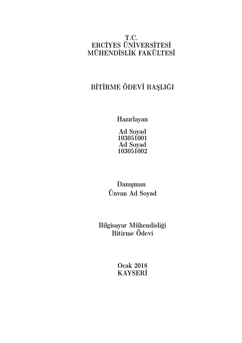## T.C. ERCİYES ÜNİVERSİTESİ MÜHENDİSLİK FAKÜLTESİ

# BİTİRME ÖDEVİ BAŞLIĞI

Hazırlayan

Ad Soyad 103051001 Ad Soyad 103051002

Danışman Ünvan Ad Soyad

Bilgisayar Mühendisliği Bitirme Ödevi

> Ocak 2018 KAYSERİ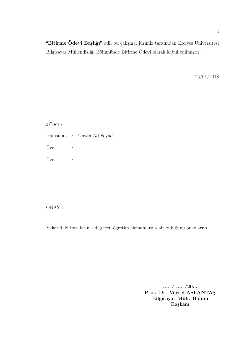"Bitirme Ödevi Başlığı" adlı bu çalışma, jürimiz tarafından Erciyes Üniversitesi Bilgisayar Mühendisliği Bölümünde Bitirme Ödevi olarak kabul edilmiştir.

25/01/2018

### JÜRİ :

Danışman : Ünvan Ad Soyad Üye : Üye :

### ONAY :

Yukarıdaki imzaların, adı geçen öğretim elemanlarına ait olduğunu onaylarım.

.... / .... /20... Prof. Dr. Veysel ASLANTAŞ Bilgisayar Müh. Bölüm Başkanı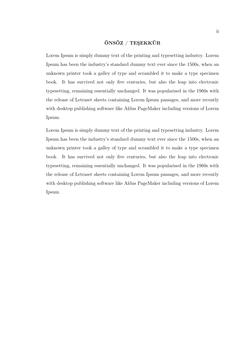#### ÖNSÖZ / TEŞEKKÜR

Lorem Ipsum is simply dummy text of the printing and typesetting industry. Lorem Ipsum has been the industry's standard dummy text ever since the 1500s, when an unknown printer took a galley of type and scrambled it to make a type specimen book. It has survived not only five centuries, but also the leap into electronic typesetting, remaining essentially unchanged. It was popularised in the 1960s with the release of Letraset sheets containing Lorem Ipsum passages, and more recently with desktop publishing software like Aldus PageMaker including versions of Lorem Ipsum.

Lorem Ipsum is simply dummy text of the printing and typesetting industry. Lorem Ipsum has been the industry's standard dummy text ever since the 1500s, when an unknown printer took a galley of type and scrambled it to make a type specimen book. It has survived not only five centuries, but also the leap into electronic typesetting, remaining essentially unchanged. It was popularised in the 1960s with the release of Letraset sheets containing Lorem Ipsum passages, and more recently with desktop publishing software like Aldus PageMaker including versions of Lorem Ipsum.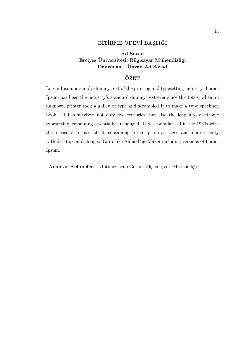### BİTİRME ÖDEVİ BAŞLIĞI

### Ad Soyad Erciyes Üniversitesi, Bilgisayar Mühendisliği Danışman : Ünvan Ad Soyad

#### ÖZET

Lorem Ipsum is simply dummy text of the printing and typesetting industry. Lorem Ipsum has been the industry's standard dummy text ever since the 1500s, when an unknown printer took a galley of type and scrambled it to make a type specimen book. It has survived not only five centuries, but also the leap into electronic typesetting, remaining essentially unchanged. It was popularised in the 1960s with the release of Letraset sheets containing Lorem Ipsum passages, and more recently with desktop publishing software like Aldus PageMaker including versions of Lorem Ipsum.

Anahtar Kelimeler: Optimizasyon,Görüntü İşleme,Veri Madenciliği.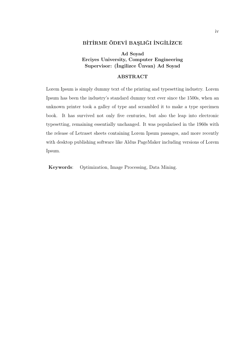### BİTİRME ÖDEVİ BAŞLIĞI İNGİLİZCE

#### Ad Soyad Erciyes University, Computer Engineering Supervisor: (İngilizce Ünvan) Ad Soyad

#### ABSTRACT

Lorem Ipsum is simply dummy text of the printing and typesetting industry. Lorem Ipsum has been the industry's standard dummy text ever since the 1500s, when an unknown printer took a galley of type and scrambled it to make a type specimen book. It has survived not only five centuries, but also the leap into electronic typesetting, remaining essentially unchanged. It was popularised in the 1960s with the release of Letraset sheets containing Lorem Ipsum passages, and more recently with desktop publishing software like Aldus PageMaker including versions of Lorem Ipsum.

Keywords: Optimization, Image Processing, Data Mining.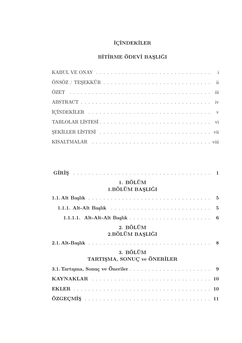# İÇİNDEKİLER

## BİTİRME ÖDEVİ BAŞLIĞI

| 1. BÖLÜM<br>1.BÖLÜM BAŞLIĞI             |  |
|-----------------------------------------|--|
|                                         |  |
|                                         |  |
|                                         |  |
| 2. BÖLÜM<br>2.BÖLÜM BAŞLIĞI             |  |
| 3. BÖLÜM<br>TARTIŞMA, SONUÇ ve ÖNERİLER |  |
|                                         |  |
|                                         |  |
|                                         |  |
|                                         |  |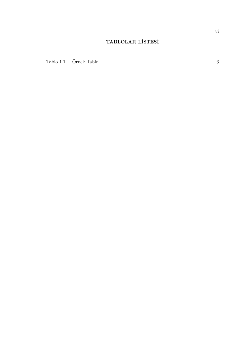## TABLOLAR LİSTESİ

| Tablo 1.1. Örnek Tablo<br>Tablo. |  |  |
|----------------------------------|--|--|
|----------------------------------|--|--|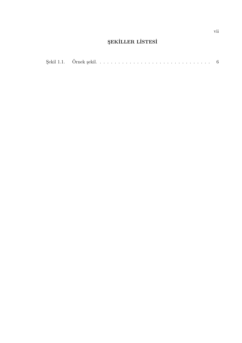# ŞEKİLLER LİSTESİ

| Sekil 1.<br>Ornek<br>– seku. | . |  |
|------------------------------|---|--|
|------------------------------|---|--|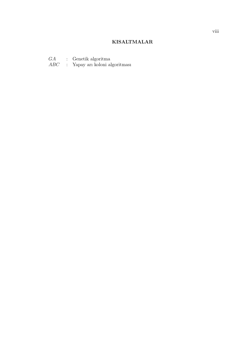#### KISALTMALAR

- GA : Genetik algoritma
- ABC : Yapay arı koloni algoritması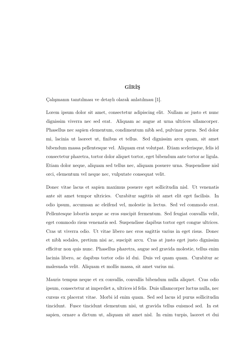### GİRİŞ

Çalışmanın tanıtılması ve detaylı olarak anlatılması [1].

Lorem ipsum dolor sit amet, consectetur adipiscing elit. Nullam ac justo et nunc dignissim viverra nec sed erat. Aliquam ac augue at urna ultrices ullamcorper. Phasellus nec sapien elementum, condimentum nibh sed, pulvinar purus. Sed dolor mi, lacinia ut laoreet ut, finibus et tellus. Sed dignissim arcu quam, sit amet bibendum massa pellentesque vel. Aliquam erat volutpat. Etiam scelerisque, felis id consectetur pharetra, tortor dolor aliquet tortor, eget bibendum ante tortor ac ligula. Etiam dolor neque, aliquam sed tellus nec, aliquam posuere urna. Suspendisse nisl orci, elementum vel neque nec, vulputate consequat velit.

Donec vitae lacus et sapien maximus posuere eget sollicitudin nisl. Ut venenatis ante sit amet tempor ultricies. Curabitur sagittis sit amet elit eget facilisis. In odio ipsum, accumsan ac eleifend vel, molestie in lectus. Sed vel commodo erat. Pellentesque lobortis neque ac eros suscipit fermentum. Sed feugiat convallis velit, eget commodo risus venenatis sed. Suspendisse dapibus tortor eget congue ultrices. Cras ut viverra odio. Ut vitae libero nec eros sagittis varius in eget risus. Donec et nibh sodales, pretium nisi ac, suscipit arcu. Cras at justo eget justo dignissim efficitur non quis nunc. Phasellus pharetra, augue sed gravida molestie, tellus enim lacinia libero, ac dapibus tortor odio id dui. Duis vel quam quam. Curabitur ac malesuada velit. Aliquam et mollis massa, sit amet varius mi.

Mauris tempus neque et ex convallis, convallis bibendum nulla aliquet. Cras odio ipsum, consectetur at imperdiet a, ultrices id felis. Duis ullamcorper luctus nulla, nec cursus ex placerat vitae. Morbi id enim quam. Sed sed lacus id purus sollicitudin tincidunt. Fusce tincidunt elementum nisi, ut gravida tellus euismod sed. In est sapien, ornare a dictum ut, aliquam sit amet nisl. In enim turpis, laoreet et dui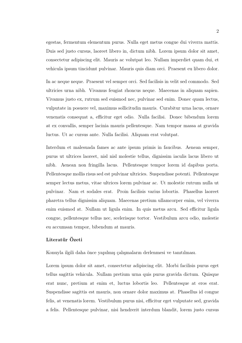egestas, fermentum elementum purus. Nulla eget metus congue dui viverra mattis. Duis sed justo cursus, laoreet libero in, dictum nibh. Lorem ipsum dolor sit amet, consectetur adipiscing elit. Mauris ac volutpat leo. Nullam imperdiet quam dui, et vehicula ipsum tincidunt pulvinar. Mauris quis diam orci. Praesent eu libero dolor.

In ac neque neque. Praesent vel semper orci. Sed facilisis in velit sed commodo. Sed ultricies urna nibh. Vivamus feugiat rhoncus neque. Maecenas in aliquam sapien. Vivamus justo ex, rutrum sed euismod nec, pulvinar sed enim. Donec quam lectus, vulputate in posuere vel, maximus sollicitudin mauris. Curabitur urna lacus, ornare venenatis consequat a, efficitur eget odio. Nulla facilisi. Donec bibendum lorem at ex convallis, semper lacinia mauris pellentesque. Nam tempor massa at gravida luctus. Ut ac cursus ante. Nulla facilisi. Aliquam erat volutpat.

Interdum et malesuada fames ac ante ipsum primis in faucibus. Aenean semper, purus ut ultrices laoreet, nisl nisl molestie tellus, dignissim iaculis lacus libero ut nibh. Aenean non fringilla lacus. Pellentesque tempor lorem id dapibus porta. Pellentesque mollis risus sed est pulvinar ultricies. Suspendisse potenti. Pellentesque semper lectus metus, vitae ultrices lorem pulvinar ac. Ut molestie rutrum nulla ut pulvinar. Nam et sodales erat. Proin facilisis varius lobortis. Phasellus laoreet pharetra tellus dignissim aliquam. Maecenas pretium ullamcorper enim, vel viverra enim euismod at. Nullam ut ligula enim. In quis metus arcu. Sed efficitur ligula congue, pellentesque tellus nec, scelerisque tortor. Vestibulum arcu odio, molestie eu accumsan tempor, bibendum at mauris.

#### Literatür Özeti

Konuyla ilgili daha önce yapılmış çalışmaların derlenmesi ve tanıtılması.

Lorem ipsum dolor sit amet, consectetur adipiscing elit. Morbi facilisis purus eget tellus sagittis vehicula. Nullam pretium urna quis purus gravida dictum. Quisque erat nunc, pretium at enim et, luctus lobortis leo. Pellentesque at eros erat. Suspendisse sagittis est mauris, non ornare dolor maximus at. Phasellus id congue felis, at venenatis lorem. Vestibulum purus nisi, efficitur eget vulputate sed, gravida a felis. Pellentesque pulvinar, nisi hendrerit interdum blandit, lorem justo cursus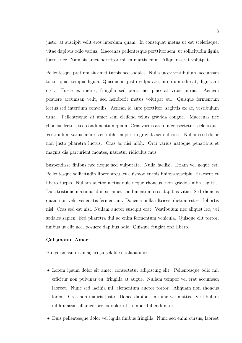justo, at suscipit velit eros interdum quam. In consequat metus ut est scelerisque, vitae dapibus odio varius. Maecenas pellentesque porttitor sem, ut sollicitudin ligula luctus nec. Nam sit amet porttitor mi, in mattis enim. Aliquam erat volutpat.

Pellentesque pretium sit amet turpis nec sodales. Nulla ut ex vestibulum, accumsan tortor quis, tempus ligula. Quisque at justo vulputate, interdum odio at, dignissim orci. Fusce ex metus, fringilla sed porta ac, placerat vitae purus. Aenean posuere accumsan velit, sed hendrerit metus volutpat eu. Quisque fermentum lectus sed interdum convallis. Aenean id ante porttitor, sagittis ex ac, vestibulum urna. Pellentesque sit amet sem eleifend tellus gravida congue. Maecenas nec rhoncus lectus, sed condimentum quam. Cras varius arcu in consectetur scelerisque. Vestibulum varius mauris eu nibh semper, in gravida sem ultrices. Nullam sed dolor non justo pharetra luctus. Cras ac nisi nibh. Orci varius natoque penatibus et magnis dis parturient montes, nascetur ridiculus mus.

Suspendisse finibus nec neque sed vulputate. Nulla facilisi. Etiam vel neque est. Pellentesque sollicitudin libero arcu, et euismod turpis finibus suscipit. Praesent et libero turpis. Nullam auctor metus quis neque rhoncus, non gravida nibh sagittis. Duis tristique maximus dui, sit amet condimentum eros dapibus vitae. Sed rhoncus quam non velit venenatis fermentum. Donec a nulla ultrices, dictum est et, lobortis nisl. Cras sed est nisl. Nullam auctor suscipit erat. Vestibulum nec aliquet leo, vel sodales sapien. Sed pharetra dui ac enim fermentum vehicula. Quisque elit tortor, finibus ut elit nec, posuere dapibus odio. Quisque feugiat orci libero.

#### Çalışmanın Amacı

Bu çalışmasının amaçları şu şekilde sıralanabilir:

- Lorem ipsum dolor sit amet, consectetur adipiscing elit. Pellentesque odio mi, efficitur non pulvinar eu, fringilla at augue. Nullam tempor vel erat accumsan laoreet. Nunc sed lacinia mi, elementum auctor tortor. Aliquam non rhoncus lorem. Cras non mauris justo. Donec dapibus in nunc vel mattis. Vestibulum nibh massa, ullamcorper eu dolor ut, tempor bibendum ex.
- Duis pellentesque dolor vel ligula finibus fringilla. Nunc sed enim cursus, laoreet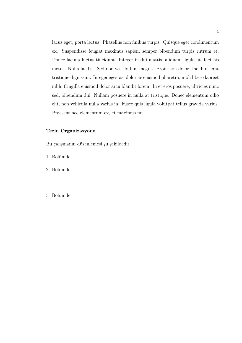lacus eget, porta lectus. Phasellus non finibus turpis. Quisque eget condimentum ex. Suspendisse feugiat maximus sapien, semper bibendum turpis rutrum et. Donec lacinia luctus tincidunt. Integer in dui mattis, aliquam ligula ut, facilisis metus. Nulla facilisi. Sed non vestibulum magna. Proin non dolor tincidunt erat tristique dignissim. Integer egestas, dolor ac euismod pharetra, nibh libero laoreet nibh, fringilla euismod dolor arcu blandit lorem. In et eros posuere, ultricies nunc sed, bibendum dui. Nullam posuere in nulla at tristique. Donec elementum odio elit, non vehicula nulla varius in. Fusce quis ligula volutpat tellus gravida varius. Praesent nec elementum ex, et maximus mi.

#### Tezin Organizasyonu

Bu çalışmanın düzenlemesi şu şekildedir.

- 1. Bölümde,
- 2. Bölümde,
- ....
- 5. Bölümde,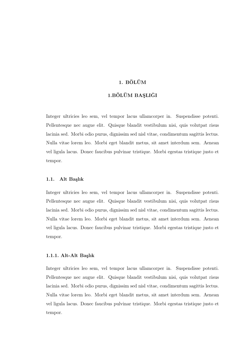### 1. BÖLÜM

#### 1.BÖLÜM BAŞLIĞI

Integer ultricies leo sem, vel tempor lacus ullamcorper in. Suspendisse potenti. Pellentesque nec augue elit. Quisque blandit vestibulum nisi, quis volutpat risus lacinia sed. Morbi odio purus, dignissim sed nisl vitae, condimentum sagittis lectus. Nulla vitae lorem leo. Morbi eget blandit metus, sit amet interdum sem. Aenean vel ligula lacus. Donec faucibus pulvinar tristique. Morbi egestas tristique justo et tempor.

#### 1.1. Alt Başlık

Integer ultricies leo sem, vel tempor lacus ullamcorper in. Suspendisse potenti. Pellentesque nec augue elit. Quisque blandit vestibulum nisi, quis volutpat risus lacinia sed. Morbi odio purus, dignissim sed nisl vitae, condimentum sagittis lectus. Nulla vitae lorem leo. Morbi eget blandit metus, sit amet interdum sem. Aenean vel ligula lacus. Donec faucibus pulvinar tristique. Morbi egestas tristique justo et tempor.

#### 1.1.1. Alt-Alt Başlık

Integer ultricies leo sem, vel tempor lacus ullamcorper in. Suspendisse potenti. Pellentesque nec augue elit. Quisque blandit vestibulum nisi, quis volutpat risus lacinia sed. Morbi odio purus, dignissim sed nisl vitae, condimentum sagittis lectus. Nulla vitae lorem leo. Morbi eget blandit metus, sit amet interdum sem. Aenean vel ligula lacus. Donec faucibus pulvinar tristique. Morbi egestas tristique justo et tempor.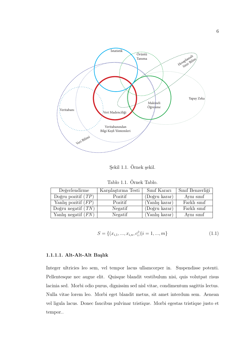

Şekil 1.1. Örnek şekil.

Tablo 1.1. Örnek Tablo.

| Değerlendirme                   | Karşılaştırma Testi | Sinif Karari   | Sınıf Benzerliği |
|---------------------------------|---------------------|----------------|------------------|
| Doğru pozitif $(T\overline{P})$ | Pozitif             | (Doğru karar)  | Aynı sınıf       |
| Yanlış pozitif $(FP)$           | Pozitif             | (Yanlış karar) | Farklı sınıf     |
| Doğru negatif $(TN)$            | Negatif             | (Doğru karar)  | Farklı sınıf     |
| Yanlış negatif $(FN)$           | Negatif             | (Yanlış karar) | Aynı sinif       |

$$
S = \{(x_{i,1}, ..., x_{i,n}, c_i^j)|i = 1, ..., m\}
$$
\n(1.1)

#### 1.1.1.1. Alt-Alt-Alt Başlık

Integer ultricies leo sem, vel tempor lacus ullamcorper in. Suspendisse potenti. Pellentesque nec augue elit. Quisque blandit vestibulum nisi, quis volutpat risus lacinia sed. Morbi odio purus, dignissim sed nisl vitae, condimentum sagittis lectus. Nulla vitae lorem leo. Morbi eget blandit metus, sit amet interdum sem. Aenean vel ligula lacus. Donec faucibus pulvinar tristique. Morbi egestas tristique justo et tempor..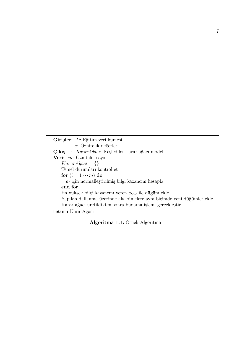```
Girişler: D: Eğitim veri kümesi.
          a: Öznitelik değerleri.
Çıkış : KararAğacı: Keşfedilen karar ağacı modeli.
Veri: m: Öznitelik sayısı.
    KararA\breve{g}ac\i = \{\}Temel durumları kontrol et
    for (i = 1 \cdots m) do
      a_iiçin normalleştirilmiş bilgi kazancını hesapla.
    end for
    En yüksek bilgi kazancını veren a_{best} ile düğüm ekle.
    Yapılan dallanma üzerinde alt kümelere aynı biçimde yeni düğümler ekle.
    Karar ağacı üretildikten sonra budama işlemi gerçekleştir.
return KararAğacı
```
Algoritma 1.1: Örnek Algoritma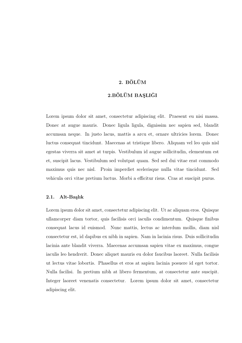### 2. BÖLÜM

#### 2.BÖLÜM BAŞLIĞI

Lorem ipsum dolor sit amet, consectetur adipiscing elit. Praesent eu nisi massa. Donec at augue mauris. Donec ligula ligula, dignissim nec sapien sed, blandit accumsan neque. In justo lacus, mattis a arcu et, ornare ultricies lorem. Donec luctus consequat tincidunt. Maecenas at tristique libero. Aliquam vel leo quis nisl egestas viverra sit amet at turpis. Vestibulum id augue sollicitudin, elementum est et, suscipit lacus. Vestibulum sed volutpat quam. Sed sed dui vitae erat commodo maximus quis nec nisl. Proin imperdiet scelerisque nulla vitae tincidunt. Sed vehicula orci vitae pretium luctus. Morbi a efficitur risus. Cras at suscipit purus.

#### 2.1. Alt-Başlık

Lorem ipsum dolor sit amet, consectetur adipiscing elit. Ut ac aliquam eros. Quisque ullamcorper diam tortor, quis facilisis orci iaculis condimentum. Quisque finibus consequat lacus id euismod. Nunc mattis, lectus ac interdum mollis, diam nisl consectetur est, id dapibus ex nibh in sapien. Nam in lacinia risus. Duis sollicitudin lacinia ante blandit viverra. Maecenas accumsan sapien vitae ex maximus, congue iaculis leo hendrerit. Donec aliquet mauris eu dolor faucibus laoreet. Nulla facilisis ut lectus vitae lobortis. Phasellus et eros at sapien lacinia posuere id eget tortor. Nulla facilisi. In pretium nibh at libero fermentum, at consectetur ante suscipit. Integer laoreet venenatis consectetur. Lorem ipsum dolor sit amet, consectetur adipiscing elit.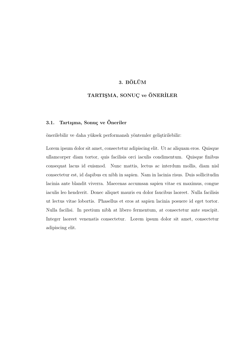### 3. BÖLÜM

### TARTIŞMA, SONUÇ ve ÖNERİLER

#### 3.1. Tartışma, Sonuç ve Öneriler

önerilebilir ve daha yüksek performanslı yöntemler geliştirilebilir:

Lorem ipsum dolor sit amet, consectetur adipiscing elit. Ut ac aliquam eros. Quisque ullamcorper diam tortor, quis facilisis orci iaculis condimentum. Quisque finibus consequat lacus id euismod. Nunc mattis, lectus ac interdum mollis, diam nisl consectetur est, id dapibus ex nibh in sapien. Nam in lacinia risus. Duis sollicitudin lacinia ante blandit viverra. Maecenas accumsan sapien vitae ex maximus, congue iaculis leo hendrerit. Donec aliquet mauris eu dolor faucibus laoreet. Nulla facilisis ut lectus vitae lobortis. Phasellus et eros at sapien lacinia posuere id eget tortor. Nulla facilisi. In pretium nibh at libero fermentum, at consectetur ante suscipit. Integer laoreet venenatis consectetur. Lorem ipsum dolor sit amet, consectetur adipiscing elit.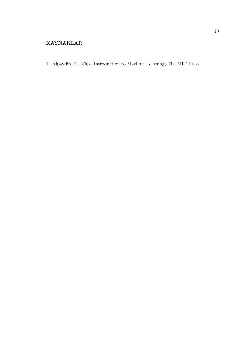### KAYNAKLAR

1. Alpaydin, E., 2004. Introduction to Machine Learning, The MIT Press.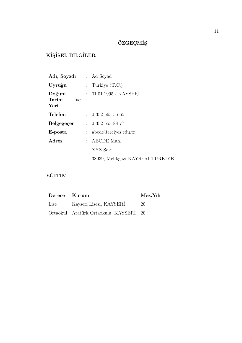# ÖZGEÇMİŞ

# KİŞİSEL BİLGİLER

| Adı, Soyadı : Ad Soyad        |               |                                  |
|-------------------------------|---------------|----------------------------------|
| Uyruğu                        |               | : Türkiye $(T.C.)$               |
| Doğum<br>Tarihi<br>ve<br>Yeri |               | $: 01.01.1995 - KAYSERI$         |
| <b>Telefon</b>                |               | : 0.3525655665                   |
| Belgegeçer                    |               | : 0.3525558877                   |
| E-posta                       |               | $: \text{abcde@erciyes.edu.tr}$  |
| Adres                         | $\mathcal{L}$ | ABCDE Mah.                       |
|                               |               | XYZ Sok.                         |
|                               |               | 38039, Melikgazi KAYSERİ TÜRKİYE |

## EĞİTİM

| Derece Kurum |                                        | Mez.Yili |
|--------------|----------------------------------------|----------|
| Lise         | Kayseri Lisesi, KAYSERİ                | 20       |
|              | Ortaokul Atatürk Ortaokulu, KAYSERİ 20 |          |